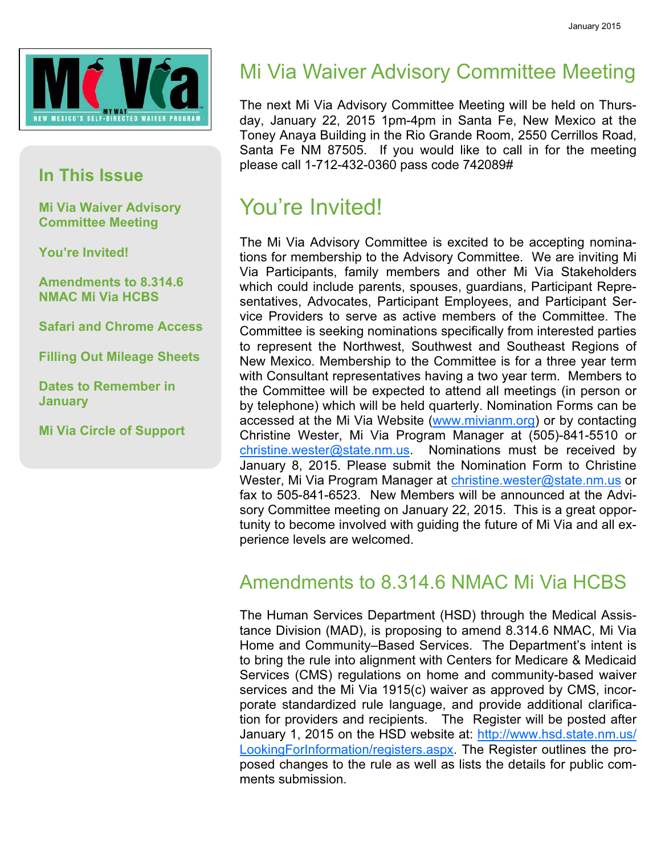

#### In This Issue

Mi Via Waiver Advisory Committee Meeting

You're Invited!

Amendments to 8.314.6 NMAC Mi Via HCBS

Safari and Chrome Access

Filling Out Mileage Sheets

Dates to Remember in **January** 

Mi Via Circle of Support

## Mi Via Waiver Advisory Committee Meeting

The next Mi Via Advisory Committee Meeting will be held on Thursday, January 22, 2015 1pm-4pm in Santa Fe, New Mexico at the Toney Anaya Building in the Rio Grande Room, 2550 Cerrillos Road, Santa Fe NM 87505. If you would like to call in for the meeting please call 1-712-432-0360 pass code 742089#

## You're Invited!

The Mi Via Advisory Committee is excited to be accepting nominations for membership to the Advisory Committee. We are inviting Mi Via Participants, family members and other Mi Via Stakeholders which could include parents, spouses, guardians, Participant Representatives, Advocates, Participant Employees, and Participant Service Providers to serve as active members of the Committee. The Committee is seeking nominations specifically from interested parties to represent the Northwest, Southwest and Southeast Regions of New Mexico. Membership to the Committee is for a three year term with Consultant representatives having a two year term. Members to the Committee will be expected to attend all meetings (in person or by telephone) which will be held quarterly. Nomination Forms can be accessed at the Mi Via Website (www.mivianm.org) or by contacting Christine Wester, Mi Via Program Manager at (505)-841-5510 or christine.wester@state.nm.us. Nominations must be received by January 8, 2015. Please submit the Nomination Form to Christine Wester, Mi Via Program Manager at christine.wester@state.nm.us or fax to 505-841-6523. New Members will be announced at the Advisory Committee meeting on January 22, 2015. This is a great opportunity to become involved with guiding the future of Mi Via and all experience levels are welcomed.

### Amendments to 8.314.6 NMAC Mi Via HCBS

The Human Services Department (HSD) through the Medical Assistance Division (MAD), is proposing to amend 8.314.6 NMAC, Mi Via Home and Community–Based Services. The Department's intent is to bring the rule into alignment with Centers for Medicare & Medicaid Services (CMS) regulations on home and community-based waiver services and the Mi Via 1915(c) waiver as approved by CMS, incorporate standardized rule language, and provide additional clarification for providers and recipients. The Register will be posted after January 1, 2015 on the HSD website at: http://www.hsd.state.nm.us/ LookingForInformation/registers.aspx. The Register outlines the proposed changes to the rule as well as lists the details for public comments submission.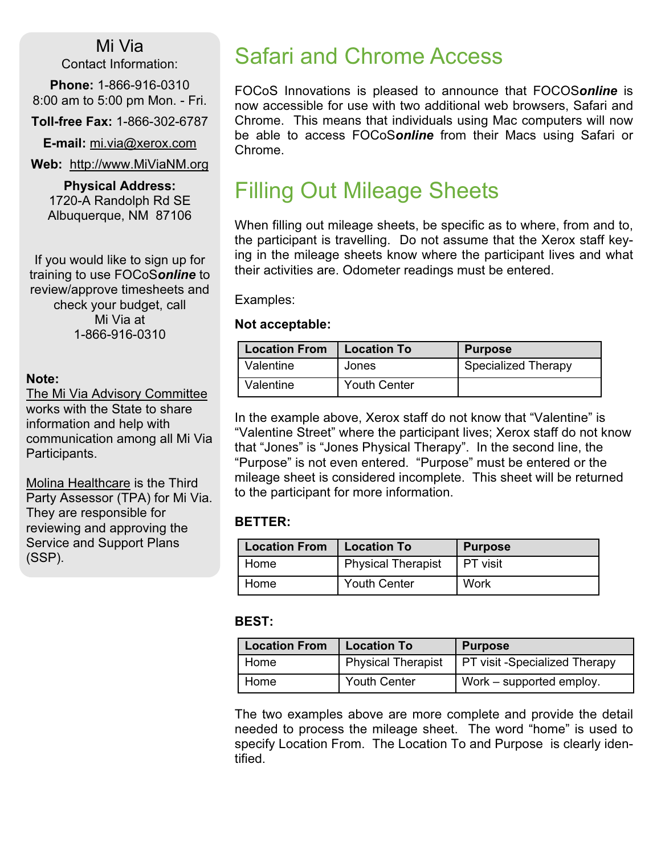### Mi Via

Contact Information:

Phone: 1-866-916-0310 8:00 am to 5:00 pm Mon. - Fri.

Toll-free Fax: 1-866-302-6787

E-mail: mi.via@xerox.com

Web: http://www.MiViaNM.org

Physical Address: 1720-A Randolph Rd SE Albuquerque, NM 87106

If you would like to sign up for training to use FOCoSonline to review/approve timesheets and check your budget, call Mi Via at 1-866-916-0310

#### Note:

The Mi Via Advisory Committee works with the State to share information and help with communication among all Mi Via Participants.

Molina Healthcare is the Third Party Assessor (TPA) for Mi Via. They are responsible for reviewing and approving the Service and Support Plans (SSP).

## Safari and Chrome Access

FOCoS Innovations is pleased to announce that FOCOSonline is now accessible for use with two additional web browsers, Safari and Chrome. This means that individuals using Mac computers will now be able to access FOCoSonline from their Macs using Safari or Chrome.

## Filling Out Mileage Sheets

When filling out mileage sheets, be specific as to where, from and to, the participant is travelling. Do not assume that the Xerox staff keying in the mileage sheets know where the participant lives and what their activities are. Odometer readings must be entered.

Examples:

#### Not acceptable:

| <b>Location From</b> | <b>Location To</b>  | Purpose             |  |  |
|----------------------|---------------------|---------------------|--|--|
| Valentine            | Jones               | Specialized Therapy |  |  |
| Valentine            | <b>Youth Center</b> |                     |  |  |

In the example above, Xerox staff do not know that "Valentine" is "Valentine Street" where the participant lives; Xerox staff do not know that "Jones" is "Jones Physical Therapy". In the second line, the "Purpose" is not even entered. "Purpose" must be entered or the mileage sheet is considered incomplete. This sheet will be returned to the participant for more information.

#### BETTER:

| <b>Location From</b> | <b>Location To</b>  | <b>Purpose</b> |
|----------------------|---------------------|----------------|
| Home                 | Physical Therapist  | I PT visit     |
| Home                 | <b>Youth Center</b> | Work           |

#### BEST:

| <b>Location From</b> | <b>Location To</b>        | <b>Purpose</b>                       |  |  |
|----------------------|---------------------------|--------------------------------------|--|--|
| Home                 | <b>Physical Therapist</b> | <b>PT visit -Specialized Therapy</b> |  |  |
| Home                 | <b>Youth Center</b>       | Work – supported employ.             |  |  |

The two examples above are more complete and provide the detail needed to process the mileage sheet. The word "home" is used to specify Location From. The Location To and Purpose is clearly identified.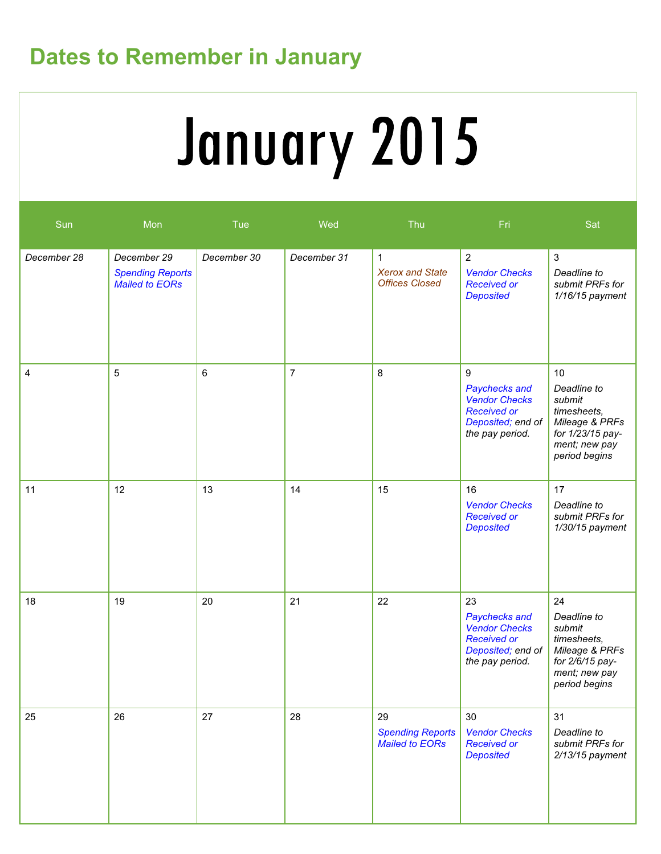# Dates to Remember in January

# January 2015

| Sun         | $M$ on                                                          | Tue         | Wed            | Thu                                                             | Fri                                                                                                       | Sat                                                                                                                |
|-------------|-----------------------------------------------------------------|-------------|----------------|-----------------------------------------------------------------|-----------------------------------------------------------------------------------------------------------|--------------------------------------------------------------------------------------------------------------------|
| December 28 | December 29<br><b>Spending Reports</b><br><b>Mailed to EORs</b> | December 30 | December 31    | $\mathbf{1}$<br><b>Xerox and State</b><br><b>Offices Closed</b> | $\overline{2}$<br><b>Vendor Checks</b><br><b>Received or</b><br><b>Deposited</b>                          | $\mathfrak{S}$<br>Deadline to<br>submit PRFs for<br>$1/16/15$ payment                                              |
| 4           | 5                                                               | 6           | $\overline{7}$ | 8                                                               | 9<br>Paychecks and<br><b>Vendor Checks</b><br><b>Received or</b><br>Deposited; end of<br>the pay period.  | 10<br>Deadline to<br>submit<br>timesheets,<br>Mileage & PRFs<br>for 1/23/15 pay-<br>ment; new pay<br>period begins |
| 11          | 12                                                              | 13          | 14             | 15                                                              | 16<br><b>Vendor Checks</b><br><b>Received or</b><br><b>Deposited</b>                                      | 17<br>Deadline to<br>submit PRFs for<br>1/30/15 payment                                                            |
| 18          | 19                                                              | 20          | 21             | 22                                                              | 23<br>Paychecks and<br><b>Vendor Checks</b><br><b>Received or</b><br>Deposited; end of<br>the pay period. | 24<br>Deadline to<br>submit<br>timesheets,<br>Mileage & PRFs<br>for 2/6/15 pay-<br>ment; new pay<br>period begins  |
| 25          | 26                                                              | 27          | 28             | 29<br><b>Spending Reports</b><br><b>Mailed to EORs</b>          | 30<br><b>Vendor Checks</b><br><b>Received or</b><br><b>Deposited</b>                                      | 31<br>Deadline to<br>submit PRFs for<br>$2/13/15$ payment                                                          |